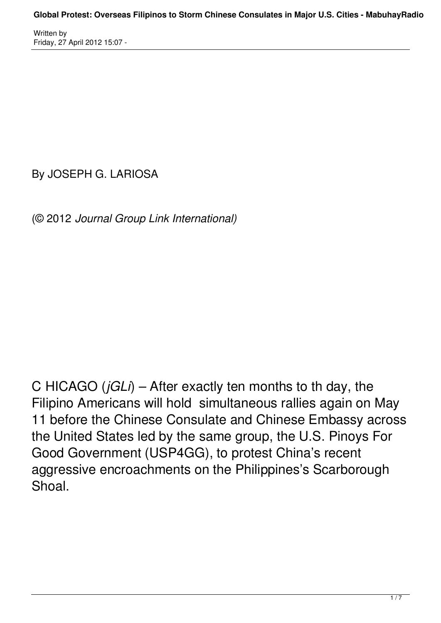By JOSEPH G. LARIOSA

(© 2012 *Journal Group Link International)*

C HICAGO (*jGLi*) – After exactly ten months to th day, the Filipino Americans will hold simultaneous rallies again on May 11 before the Chinese Consulate and Chinese Embassy across the United States led by the same group, the U.S. Pinoys For Good Government (USP4GG), to protest China's recent aggressive encroachments on the Philippines's Scarborough Shoal.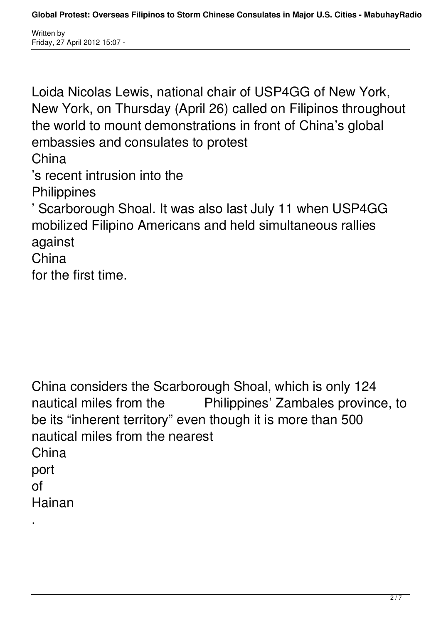.

Loida Nicolas Lewis, national chair of USP4GG of New York, New York, on Thursday (April 26) called on Filipinos throughout the world to mount demonstrations in front of China's global embassies and consulates to protest China 's recent intrusion into the **Philippines** ' Scarborough Shoal. It was also last July 11 when USP4GG mobilized Filipino Americans and held simultaneous rallies against China for the first time.

China considers the Scarborough Shoal, which is only 124 nautical miles from the Philippines' Zambales province, to be its "inherent territory" even though it is more than 500 nautical miles from the nearest **China** port of Hainan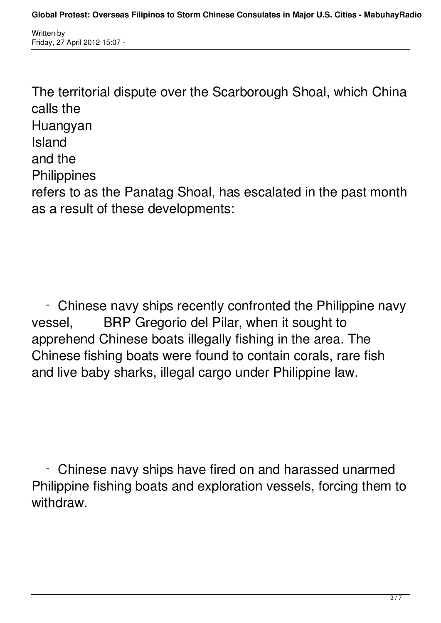The territorial dispute over the Scarborough Shoal, which China calls the **Huangyan** Island and the **Philippines** refers to as the Panatag Shoal, has escalated in the past month as a result of these developments:

 - Chinese navy ships recently confronted the Philippine navy vessel, BRP Gregorio del Pilar, when it sought to apprehend Chinese boats illegally fishing in the area. The Chinese fishing boats were found to contain corals, rare fish and live baby sharks, illegal cargo under Philippine law.

 - Chinese navy ships have fired on and harassed unarmed Philippine fishing boats and exploration vessels, forcing them to withdraw.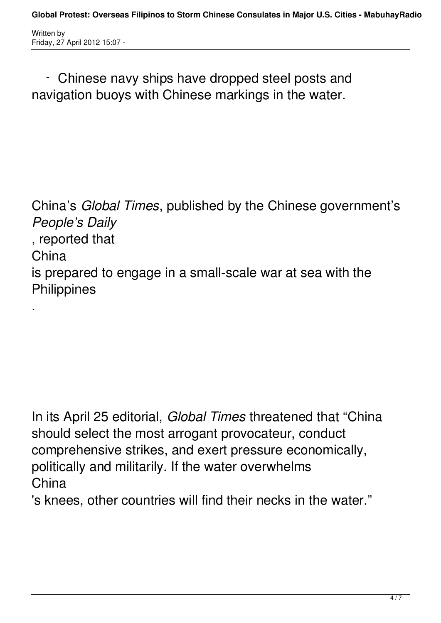.

 - Chinese navy ships have dropped steel posts and navigation buoys with Chinese markings in the water.

China's *Global Times*, published by the Chinese government's *People's Daily* , reported that China is prepared to engage in a small-scale war at sea with the **Philippines** 

In its April 25 editorial, *Global Times* threatened that "China should select the most arrogant provocateur, conduct comprehensive strikes, and exert pressure economically, politically and militarily. If the water overwhelms **China** 

's knees, other countries will find their necks in the water."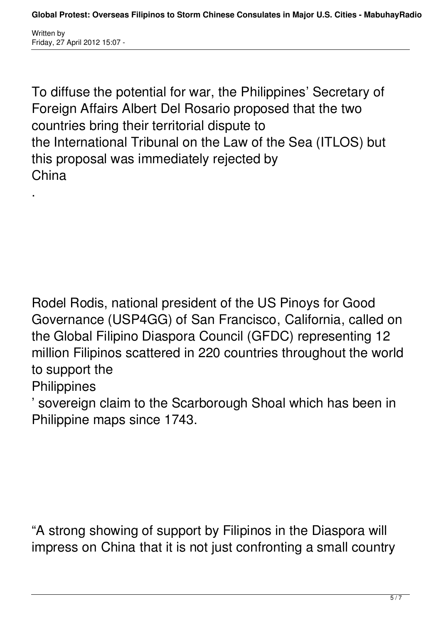To diffuse the potential for war, the Philippines' Secretary of Foreign Affairs Albert Del Rosario proposed that the two countries bring their territorial dispute to the International Tribunal on the Law of the Sea (ITLOS) but this proposal was immediately rejected by China

Rodel Rodis, national president of the US Pinoys for Good Governance (USP4GG) of San Francisco, California, called on the Global Filipino Diaspora Council (GFDC) representing 12 million Filipinos scattered in 220 countries throughout the world to support the

## **Philippines**

.

' sovereign claim to the Scarborough Shoal which has been in Philippine maps since 1743.

"A strong showing of support by Filipinos in the Diaspora will impress on China that it is not just confronting a small country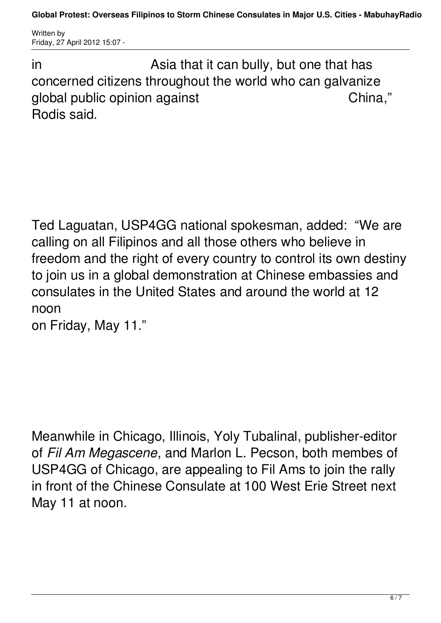**Global Protest: Overseas Filipinos to Storm Chinese Consulates in Major U.S. Cities - MabuhayRadio**

Written by Friday, 27 April 2012 15:07 -

in **Asia that it can bully, but one that has** concerned citizens throughout the world who can galvanize global public opinion against The China," Rodis said.

Ted Laguatan, USP4GG national spokesman, added: "We are calling on all Filipinos and all those others who believe in freedom and the right of every country to control its own destiny to join us in a global demonstration at Chinese embassies and consulates in the United States and around the world at 12 noon

on Friday, May 11."

Meanwhile in Chicago, Illinois, Yoly Tubalinal, publisher-editor of *Fil Am Megascene*, and Marlon L. Pecson, both membes of USP4GG of Chicago, are appealing to Fil Ams to join the rally in front of the Chinese Consulate at 100 West Erie Street next May 11 at noon.